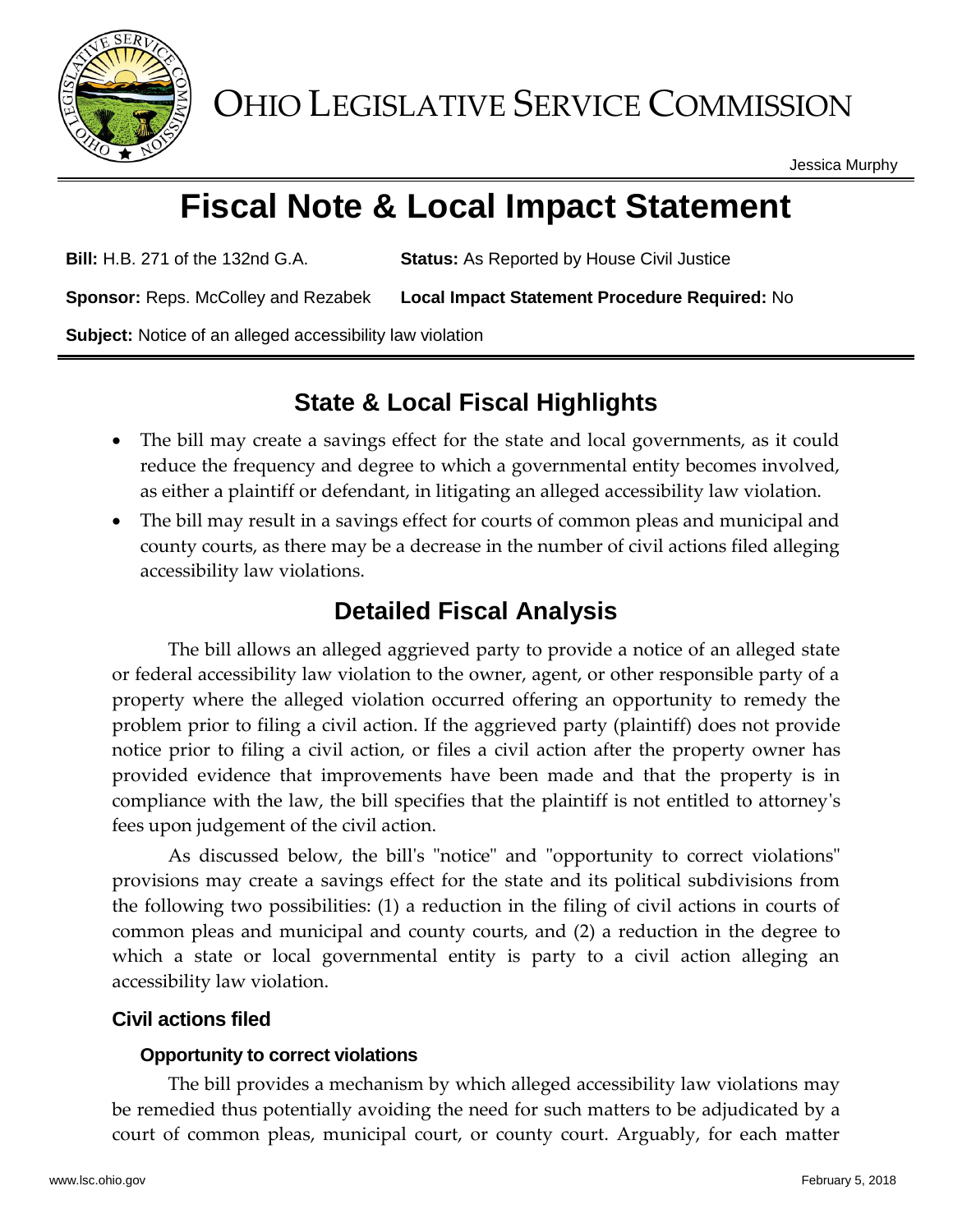

OHIO LEGISLATIVE SERVICE COMMISSION

Jessica Murphy

# **Fiscal Note & Local Impact Statement**

**Bill:** H.B. 271 of the 132nd G.A. **Status:** As Reported by House Civil Justice

**Sponsor:** Reps. McColley and Rezabek **Local Impact Statement Procedure Required:** No

**Subject:** Notice of an alleged accessibility law violation

## **State & Local Fiscal Highlights**

- The bill may create a savings effect for the state and local governments, as it could reduce the frequency and degree to which a governmental entity becomes involved, as either a plaintiff or defendant, in litigating an alleged accessibility law violation.
- The bill may result in a savings effect for courts of common pleas and municipal and county courts, as there may be a decrease in the number of civil actions filed alleging accessibility law violations.

## **Detailed Fiscal Analysis**

The bill allows an alleged aggrieved party to provide a notice of an alleged state or federal accessibility law violation to the owner, agent, or other responsible party of a property where the alleged violation occurred offering an opportunity to remedy the problem prior to filing a civil action. If the aggrieved party (plaintiff) does not provide notice prior to filing a civil action, or files a civil action after the property owner has provided evidence that improvements have been made and that the property is in compliance with the law, the bill specifies that the plaintiff is not entitled to attorney's fees upon judgement of the civil action.

As discussed below, the bill's "notice" and "opportunity to correct violations" provisions may create a savings effect for the state and its political subdivisions from the following two possibilities: (1) a reduction in the filing of civil actions in courts of common pleas and municipal and county courts, and (2) a reduction in the degree to which a state or local governmental entity is party to a civil action alleging an accessibility law violation.

### **Civil actions filed**

#### **Opportunity to correct violations**

The bill provides a mechanism by which alleged accessibility law violations may be remedied thus potentially avoiding the need for such matters to be adjudicated by a court of common pleas, municipal court, or county court. Arguably, for each matter